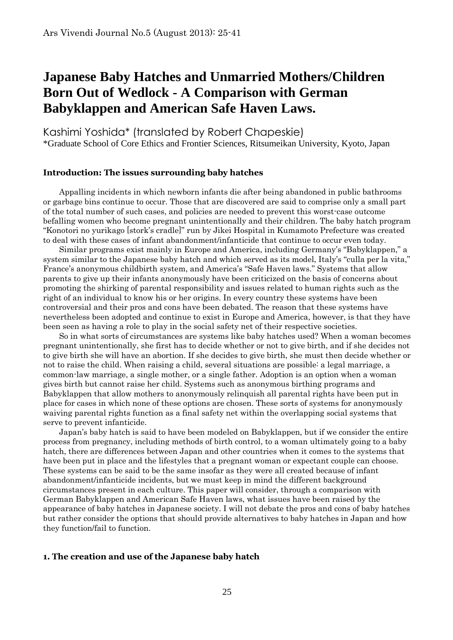# **Japanese Baby Hatches and Unmarried Mothers/Children Born Out of Wedlock - A Comparison with German Babyklappen and American Safe Haven Laws.**

Kashimi Yoshida\* (translated by Robert Chapeskie) \*Graduate School of Core Ethics and Frontier Sciences, Ritsumeikan University, Kyoto, Japan

## **Introduction: The issues surrounding baby hatches**

Appalling incidents in which newborn infants die after being abandoned in public bathrooms or garbage bins continue to occur. Those that are discovered are said to comprise only a small part of the total number of such cases, and policies are needed to prevent this worst-case outcome befalling women who become pregnant unintentionally and their children. The baby hatch program "Konotori no yurikago [stork's cradle]" run by Jikei Hospital in Kumamoto Prefecture was created to deal with these cases of infant abandonment/infanticide that continue to occur even today.

Similar programs exist mainly in Europe and America, including Germany's "Babyklappen," a system similar to the Japanese baby hatch and which served as its model, Italy's "culla per la vita," France's anonymous childbirth system, and America's "Safe Haven laws." Systems that allow parents to give up their infants anonymously have been criticized on the basis of concerns about promoting the shirking of parental responsibility and issues related to human rights such as the right of an individual to know his or her origins. In every country these systems have been controversial and their pros and cons have been debated. The reason that these systems have nevertheless been adopted and continue to exist in Europe and America, however, is that they have been seen as having a role to play in the social safety net of their respective societies.

So in what sorts of circumstances are systems like baby hatches used? When a woman becomes pregnant unintentionally, she first has to decide whether or not to give birth, and if she decides not to give birth she will have an abortion. If she decides to give birth, she must then decide whether or not to raise the child. When raising a child, several situations are possible: a legal marriage, a common-law marriage, a single mother, or a single father. Adoption is an option when a woman gives birth but cannot raise her child. Systems such as anonymous birthing programs and Babyklappen that allow mothers to anonymously relinquish all parental rights have been put in place for cases in which none of these options are chosen. These sorts of systems for anonymously waiving parental rights function as a final safety net within the overlapping social systems that serve to prevent infanticide.

Japan's baby hatch is said to have been modeled on Babyklappen, but if we consider the entire process from pregnancy, including methods of birth control, to a woman ultimately going to a baby hatch, there are differences between Japan and other countries when it comes to the systems that have been put in place and the lifestyles that a pregnant woman or expectant couple can choose. These systems can be said to be the same insofar as they were all created because of infant abandonment/infanticide incidents, but we must keep in mind the different background circumstances present in each culture. This paper will consider, through a comparison with German Babyklappen and American Safe Haven laws, what issues have been raised by the appearance of baby hatches in Japanese society. I will not debate the pros and cons of baby hatches but rather consider the options that should provide alternatives to baby hatches in Japan and how they function/fail to function.

## **1. The creation and use of the Japanese baby hatch**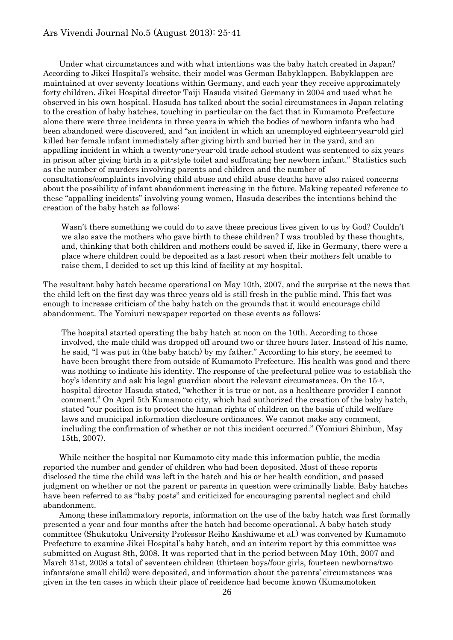## Ars Vivendi Journal No.5 (August 2013): 25-41

Under what circumstances and with what intentions was the baby hatch created in Japan? According to Jikei Hospital's website, their model was German Babyklappen. Babyklappen are maintained at over seventy locations within Germany, and each year they receive approximately forty children. Jikei Hospital director Taiji Hasuda visited Germany in 2004 and used what he observed in his own hospital. Hasuda has talked about the social circumstances in Japan relating to the creation of baby hatches, touching in particular on the fact that in Kumamoto Prefecture alone there were three incidents in three years in which the bodies of newborn infants who had been abandoned were discovered, and "an incident in which an unemployed eighteen-year-old girl killed her female infant immediately after giving birth and buried her in the yard, and an appalling incident in which a twenty-one-year-old trade school student was sentenced to six years in prison after giving birth in a pit-style toilet and suffocating her newborn infant." Statistics such as the number of murders involving parents and children and the number of consultations/complaints involving child abuse and child abuse deaths have also raised concerns about the possibility of infant abandonment increasing in the future. Making repeated reference to these "appalling incidents" involving young women, Hasuda describes the intentions behind the creation of the baby hatch as follows:

Wasn't there something we could do to save these precious lives given to us by God? Couldn't we also save the mothers who gave birth to these children? I was troubled by these thoughts, and, thinking that both children and mothers could be saved if, like in Germany, there were a place where children could be deposited as a last resort when their mothers felt unable to raise them, I decided to set up this kind of facility at my hospital.

The resultant baby hatch became operational on May 10th, 2007, and the surprise at the news that the child left on the first day was three years old is still fresh in the public mind. This fact was enough to increase criticism of the baby hatch on the grounds that it would encourage child abandonment. The Yomiuri newspaper reported on these events as follows:

The hospital started operating the baby hatch at noon on the 10th. According to those involved, the male child was dropped off around two or three hours later. Instead of his name, he said, "I was put in (the baby hatch) by my father." According to his story, he seemed to have been brought there from outside of Kumamoto Prefecture. His health was good and there was nothing to indicate his identity. The response of the prefectural police was to establish the boy's identity and ask his legal guardian about the relevant circumstances. On the 15th, hospital director Hasuda stated, "whether it is true or not, as a healthcare provider I cannot comment." On April 5th Kumamoto city, which had authorized the creation of the baby hatch, stated "our position is to protect the human rights of children on the basis of child welfare laws and municipal information disclosure ordinances. We cannot make any comment, including the confirmation of whether or not this incident occurred." (Yomiuri Shinbun, May 15th, 2007).

While neither the hospital nor Kumamoto city made this information public, the media reported the number and gender of children who had been deposited. Most of these reports disclosed the time the child was left in the hatch and his or her health condition, and passed judgment on whether or not the parent or parents in question were criminally liable. Baby hatches have been referred to as "baby posts" and criticized for encouraging parental neglect and child abandonment.

Among these inflammatory reports, information on the use of the baby hatch was first formally presented a year and four months after the hatch had become operational. A baby hatch study committee (Shukutoku University Professor Reiho Kashiwame et al.) was convened by Kumamoto Prefecture to examine Jikei Hospital's baby hatch, and an interim report by this committee was submitted on August 8th, 2008. It was reported that in the period between May 10th, 2007 and March 31st, 2008 a total of seventeen children (thirteen boys/four girls, fourteen newborns/two infants/one small child) were deposited, and information about the parents' circumstances was given in the ten cases in which their place of residence had become known (Kumamotoken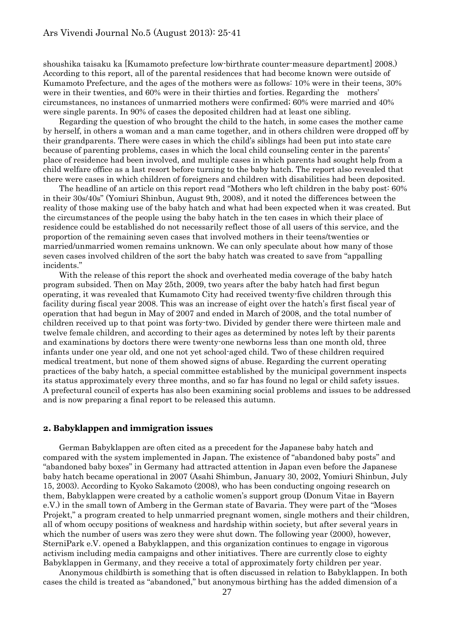shoushika taisaku ka [Kumamoto prefecture low-birthrate counter-measure department] 2008.) According to this report, all of the parental residences that had become known were outside of Kumamoto Prefecture, and the ages of the mothers were as follows: 10% were in their teens, 30% were in their twenties, and 60% were in their thirties and forties. Regarding the mothers' circumstances, no instances of unmarried mothers were confirmed; 60% were married and 40% were single parents. In 90% of cases the deposited children had at least one sibling.

Regarding the question of who brought the child to the hatch, in some cases the mother came by herself, in others a woman and a man came together, and in others children were dropped off by their grandparents. There were cases in which the child's siblings had been put into state care because of parenting problems, cases in which the local child counseling center in the parents' place of residence had been involved, and multiple cases in which parents had sought help from a child welfare office as a last resort before turning to the baby hatch. The report also revealed that there were cases in which children of foreigners and children with disabilities had been deposited.

The headline of an article on this report read "Mothers who left children in the baby post: 60% in their 30s/40s" (Yomiuri Shinbun, August 9th, 2008), and it noted the differences between the reality of those making use of the baby hatch and what had been expected when it was created. But the circumstances of the people using the baby hatch in the ten cases in which their place of residence could be established do not necessarily reflect those of all users of this service, and the proportion of the remaining seven cases that involved mothers in their teens/twenties or married/unmarried women remains unknown. We can only speculate about how many of those seven cases involved children of the sort the baby hatch was created to save from "appalling incidents."

With the release of this report the shock and overheated media coverage of the baby hatch program subsided. Then on May 25th, 2009, two years after the baby hatch had first begun operating, it was revealed that Kumamoto City had received twenty-five children through this facility during fiscal year 2008. This was an increase of eight over the hatch's first fiscal year of operation that had begun in May of 2007 and ended in March of 2008, and the total number of children received up to that point was forty-two. Divided by gender there were thirteen male and twelve female children, and according to their ages as determined by notes left by their parents and examinations by doctors there were twenty-one newborns less than one month old, three infants under one year old, and one not yet school-aged child. Two of these children required medical treatment, but none of them showed signs of abuse. Regarding the current operating practices of the baby hatch, a special committee established by the municipal government inspects its status approximately every three months, and so far has found no legal or child safety issues. A prefectural council of experts has also been examining social problems and issues to be addressed and is now preparing a final report to be released this autumn.

#### **2. Babyklappen and immigration issues**

German Babyklappen are often cited as a precedent for the Japanese baby hatch and compared with the system implemented in Japan. The existence of "abandoned baby posts" and "abandoned baby boxes" in Germany had attracted attention in Japan even before the Japanese baby hatch became operational in 2007 (Asahi Shimbun, January 30, 2002, Yomiuri Shinbun, July 15, 2003). According to Kyoko Sakamoto (2008), who has been conducting ongoing research on them, Babyklappen were created by a catholic women's support group (Donum Vitae in Bayern e.V.) in the small town of Amberg in the German state of Bavaria. They were part of the "Moses Projekt," a program created to help unmarried pregnant women, single mothers and their children, all of whom occupy positions of weakness and hardship within society, but after several years in which the number of users was zero they were shut down. The following year  $(2000)$ , however, SterniPark e.V. opened a Babyklappen, and this organization continues to engage in vigorous activism including media campaigns and other initiatives. There are currently close to eighty Babyklappen in Germany, and they receive a total of approximately forty children per year.

Anonymous childbirth is something that is often discussed in relation to Babyklappen. In both cases the child is treated as "abandoned," but anonymous birthing has the added dimension of a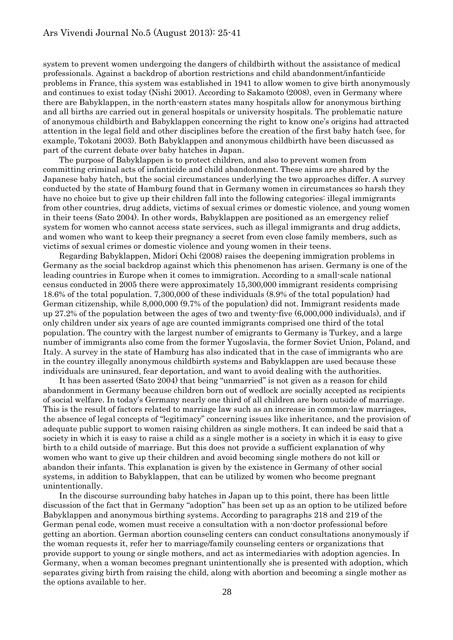system to prevent women undergoing the dangers of childbirth without the assistance of medical professionals. Against a backdrop of abortion restrictions and child abandonment/infanticide problems in France, this system was established in 1941 to allow women to give birth anonymously and continues to exist today (Nishi 2001). According to Sakamoto (2008), even in Germany where there are Babyklappen, in the north-eastern states many hospitals allow for anonymous birthing and all births are carried out in general hospitals or university hospitals. The problematic nature of anonymous childbirth and Babyklappen concerning the right to know one's origins had attracted attention in the legal field and other disciplines before the creation of the first baby hatch (see, for example, Tokotani 2003). Both Babyklappen and anonymous childbirth have been discussed as part of the current debate over baby hatches in Japan.

The purpose of Babyklappen is to protect children, and also to prevent women from committing criminal acts of infanticide and child abandonment. These aims are shared by the Japanese baby hatch, but the social circumstances underlying the two approaches differ. A survey conducted by the state of Hamburg found that in Germany women in circumstances so harsh they have no choice but to give up their children fall into the following categories: illegal immigrants from other countries, drug addicts, victims of sexual crimes or domestic violence, and young women in their teens (Sato 2004). In other words, Babyklappen are positioned as an emergency relief system for women who cannot access state services, such as illegal immigrants and drug addicts, and women who want to keep their pregnancy a secret from even close family members, such as victims of sexual crimes or domestic violence and young women in their teens.

Regarding Babyklappen, Midori Ochi (2008) raises the deepening immigration problems in Germany as the social backdrop against which this phenomenon has arisen. Germany is one of the leading countries in Europe when it comes to immigration. According to a small-scale national census conducted in 2005 there were approximately 15,300,000 immigrant residents comprising 18.6% of the total population. 7,300,000 of these individuals (8.9% of the total population) had German citizenship, while 8,000,000 (9.7% of the population) did not. Immigrant residents made up 27.2% of the population between the ages of two and twenty-five (6,000,000 individuals), and if only children under six years of age are counted immigrants comprised one third of the total population. The country with the largest number of emigrants to Germany is Turkey, and a large number of immigrants also come from the former Yugoslavia, the former Soviet Union, Poland, and Italy. A survey in the state of Hamburg has also indicated that in the case of immigrants who are in the country illegally anonymous childbirth systems and Babyklappen are used because these individuals are uninsured, fear deportation, and want to avoid dealing with the authorities.

It has been asserted (Sato 2004) that being "unmarried" is not given as a reason for child abandonment in Germany because children born out of wedlock are socially accepted as recipients of social welfare. In today's Germany nearly one third of all children are born outside of marriage. This is the result of factors related to marriage law such as an increase in common-law marriages, the absence of legal concepts of "legitimacy" concerning issues like inheritance, and the provision of adequate public support to women raising children as single mothers. It can indeed be said that a society in which it is easy to raise a child as a single mother is a society in which it is easy to give birth to a child outside of marriage. But this does not provide a sufficient explanation of why women who want to give up their children and avoid becoming single mothers do not kill or abandon their infants. This explanation is given by the existence in Germany of other social systems, in addition to Babyklappen, that can be utilized by women who become pregnant unintentionally.

In the discourse surrounding baby hatches in Japan up to this point, there has been little discussion of the fact that in Germany "adoption" has been set up as an option to be utilized before Babyklappen and anonymous birthing systems. According to paragraphs 218 and 219 of the German penal code, women must receive a consultation with a non-doctor professional before getting an abortion. German abortion counseling centers can conduct consultations anonymously if the woman requests it, refer her to marriage/family counseling centers or organizations that provide support to young or single mothers, and act as intermediaries with adoption agencies. In Germany, when a woman becomes pregnant unintentionally she is presented with adoption, which separates giving birth from raising the child, along with abortion and becoming a single mother as the options available to her.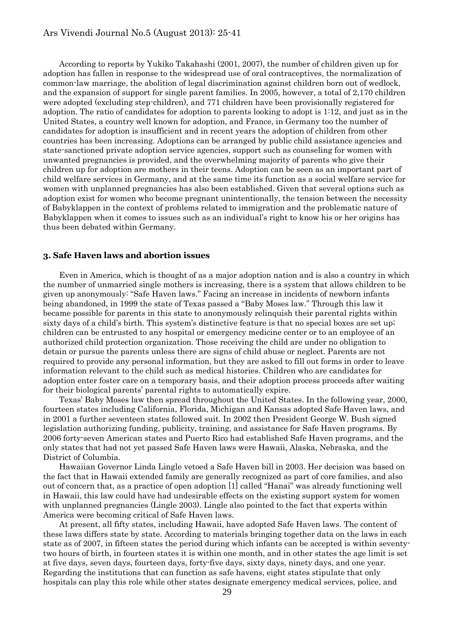According to reports by Yukiko Takahashi (2001, 2007), the number of children given up for adoption has fallen in response to the widespread use of oral contraceptives, the normalization of common-law marriage, the abolition of legal discrimination against children born out of wedlock, and the expansion of support for single parent families. In 2005, however, a total of 2,170 children were adopted (excluding step-children), and 771 children have been provisionally registered for adoption. The ratio of candidates for adoption to parents looking to adopt is 1:12, and just as in the United States, a country well known for adoption, and France, in Germany too the number of candidates for adoption is insufficient and in recent years the adoption of children from other countries has been increasing. Adoptions can be arranged by public child assistance agencies and state-sanctioned private adoption service agencies, support such as counseling for women with unwanted pregnancies is provided, and the overwhelming majority of parents who give their children up for adoption are mothers in their teens. Adoption can be seen as an important part of child welfare services in Germany, and at the same time its function as a social welfare service for women with unplanned pregnancies has also been established. Given that several options such as adoption exist for women who become pregnant unintentionally, the tension between the necessity of Babyklappen in the context of problems related to immigration and the problematic nature of Babyklappen when it comes to issues such as an individual's right to know his or her origins has thus been debated within Germany.

#### **3. Safe Haven laws and abortion issues**

Even in America, which is thought of as a major adoption nation and is also a country in which the number of unmarried single mothers is increasing, there is a system that allows children to be given up anonymously: "Safe Haven laws." Facing an increase in incidents of newborn infants being abandoned, in 1999 the state of Texas passed a "Baby Moses law." Through this law it became possible for parents in this state to anonymously relinquish their parental rights within sixty days of a child's birth. This system's distinctive feature is that no special boxes are set up; children can be entrusted to any hospital or emergency medicine center or to an employee of an authorized child protection organization. Those receiving the child are under no obligation to detain or pursue the parents unless there are signs of child abuse or neglect. Parents are not required to provide any personal information, but they are asked to fill out forms in order to leave information relevant to the child such as medical histories. Children who are candidates for adoption enter foster care on a temporary basis, and their adoption process proceeds after waiting for their biological parents' parental rights to automatically expire.

Texas' Baby Moses law then spread throughout the United States. In the following year, 2000, fourteen states including California, Florida, Michigan and Kansas adopted Safe Haven laws, and in 2001 a further seventeen states followed suit. In 2002 then President George W. Bush signed legislation authorizing funding, publicity, training, and assistance for Safe Haven programs. By 2006 forty-seven American states and Puerto Rico had established Safe Haven programs, and the only states that had not yet passed Safe Haven laws were Hawaii, Alaska, Nebraska, and the District of Columbia.

Hawaiian Governor Linda Lingle vetoed a Safe Haven bill in 2003. Her decision was based on the fact that in Hawaii extended family are generally recognized as part of core families, and also out of concern that, as a practice of open adoption [1] called "Hanai" was already functioning well in Hawaii, this law could have had undesirable effects on the existing support system for women with unplanned pregnancies (Lingle 2003). Lingle also pointed to the fact that experts within America were becoming critical of Safe Haven laws.

At present, all fifty states, including Hawaii, have adopted Safe Haven laws. The content of these laws differs state by state. According to materials bringing together data on the laws in each state as of 2007, in fifteen states the period during which infants can be accepted is within seventytwo hours of birth, in fourteen states it is within one month, and in other states the age limit is set at five days, seven days, fourteen days, forty-five days, sixty days, ninety days, and one year. Regarding the institutions that can function as safe havens, eight states stipulate that only hospitals can play this role while other states designate emergency medical services, police, and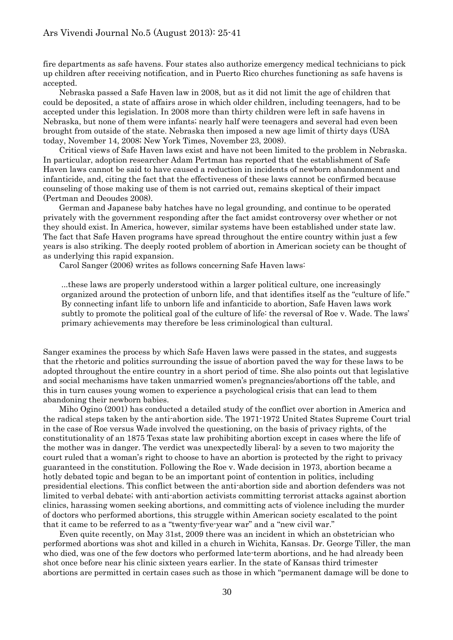fire departments as safe havens. Four states also authorize emergency medical technicians to pick up children after receiving notification, and in Puerto Rico churches functioning as safe havens is accepted.

Nebraska passed a Safe Haven law in 2008, but as it did not limit the age of children that could be deposited, a state of affairs arose in which older children, including teenagers, had to be accepted under this legislation. In 2008 more than thirty children were left in safe havens in Nebraska, but none of them were infants; nearly half were teenagers and several had even been brought from outside of the state. Nebraska then imposed a new age limit of thirty days (USA today, November 14, 2008; New York Times, November 23, 2008).

Critical views of Safe Haven laws exist and have not been limited to the problem in Nebraska. In particular, adoption researcher Adam Pertman has reported that the establishment of Safe Haven laws cannot be said to have caused a reduction in incidents of newborn abandonment and infanticide, and, citing the fact that the effectiveness of these laws cannot be confirmed because counseling of those making use of them is not carried out, remains skeptical of their impact (Pertman and Deoudes 2008).

German and Japanese baby hatches have no legal grounding, and continue to be operated privately with the government responding after the fact amidst controversy over whether or not they should exist. In America, however, similar systems have been established under state law. The fact that Safe Haven programs have spread throughout the entire country within just a few years is also striking. The deeply rooted problem of abortion in American society can be thought of as underlying this rapid expansion.

Carol Sanger (2006) writes as follows concerning Safe Haven laws:

...these laws are properly understood within a larger political culture, one increasingly organized around the protection of unborn life, and that identifies itself as the "culture of life." By connecting infant life to unborn life and infanticide to abortion, Safe Haven laws work subtly to promote the political goal of the culture of life: the reversal of Roe v. Wade. The laws' primary achievements may therefore be less criminological than cultural.

Sanger examines the process by which Safe Haven laws were passed in the states, and suggests that the rhetoric and politics surrounding the issue of abortion paved the way for these laws to be adopted throughout the entire country in a short period of time. She also points out that legislative and social mechanisms have taken unmarried women's pregnancies/abortions off the table, and this in turn causes young women to experience a psychological crisis that can lead to them abandoning their newborn babies.

Miho Ogino (2001) has conducted a detailed study of the conflict over abortion in America and the radical steps taken by the anti-abortion side. The 1971-1972 United States Supreme Court trial in the case of Roe versus Wade involved the questioning, on the basis of privacy rights, of the constitutionality of an 1875 Texas state law prohibiting abortion except in cases where the life of the mother was in danger. The verdict was unexpectedly liberal: by a seven to two majority the court ruled that a woman's right to choose to have an abortion is protected by the right to privacy guaranteed in the constitution. Following the Roe v. Wade decision in 1973, abortion became a hotly debated topic and began to be an important point of contention in politics, including presidential elections. This conflict between the anti-abortion side and abortion defenders was not limited to verbal debate; with anti-abortion activists committing terrorist attacks against abortion clinics, harassing women seeking abortions, and committing acts of violence including the murder of doctors who performed abortions, this struggle within American society escalated to the point that it came to be referred to as a "twenty-five-year war" and a "new civil war."

Even quite recently, on May 31st, 2009 there was an incident in which an obstetrician who performed abortions was shot and killed in a church in Wichita, Kansas. Dr. George Tiller, the man who died, was one of the few doctors who performed late-term abortions, and he had already been shot once before near his clinic sixteen years earlier. In the state of Kansas third trimester abortions are permitted in certain cases such as those in which "permanent damage will be done to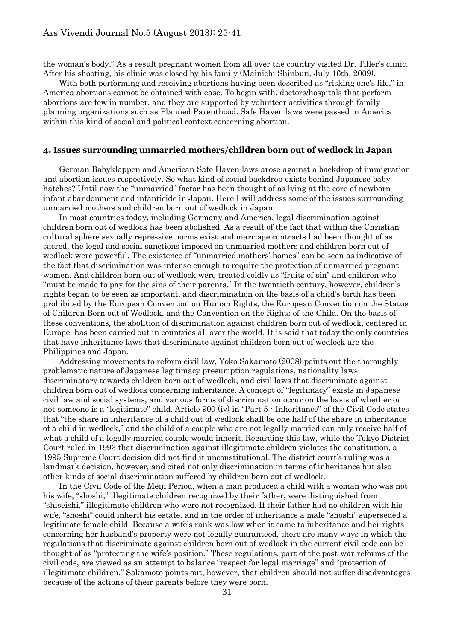the woman's body." As a result pregnant women from all over the country visited Dr. Tiller's clinic. After his shooting, his clinic was closed by his family (Mainichi Shinbun, July 16th, 2009).

With both performing and receiving abortions having been described as "risking one's life," in America abortions cannot be obtained with ease. To begin with, doctors/hospitals that perform abortions are few in number, and they are supported by volunteer activities through family planning organizations such as Planned Parenthood. Safe Haven laws were passed in America within this kind of social and political context concerning abortion.

## **4. Issues surrounding unmarried mothers/children born out of wedlock in Japan**

German Babyklappen and American Safe Haven laws arose against a backdrop of immigration and abortion issues respectively. So what kind of social backdrop exists behind Japanese baby hatches? Until now the "unmarried" factor has been thought of as lying at the core of newborn infant abandonment and infanticide in Japan. Here I will address some of the issues surrounding unmarried mothers and children born out of wedlock in Japan.

In most countries today, including Germany and America, legal discrimination against children born out of wedlock has been abolished. As a result of the fact that within the Christian cultural sphere sexually repressive norms exist and marriage contracts had been thought of as sacred, the legal and social sanctions imposed on unmarried mothers and children born out of wedlock were powerful. The existence of "unmarried mothers' homes" can be seen as indicative of the fact that discrimination was intense enough to require the protection of unmarried pregnant women. And children born out of wedlock were treated coldly as "fruits of sin" and children who "must be made to pay for the sins of their parents." In the twentieth century, however, children's rights began to be seen as important, and discrimination on the basis of a child's birth has been prohibited by the European Convention on Human Rights, the European Convention on the Status of Children Born out of Wedlock, and the Convention on the Rights of the Child. On the basis of these conventions, the abolition of discrimination against children born out of wedlock, centered in Europe, has been carried out in countries all over the world. It is said that today the only countries that have inheritance laws that discriminate against children born out of wedlock are the Philippines and Japan.

Addressing movements to reform civil law, Yoko Sakamoto (2008) points out the thoroughly problematic nature of Japanese legitimacy presumption regulations, nationality laws discriminatory towards children born out of wedlock, and civil laws that discriminate against children born out of wedlock concerning inheritance. A concept of "legitimacy" exists in Japanese civil law and social systems, and various forms of discrimination occur on the basis of whether or not someone is a "legitimate" child. Article 900 (iv) in "Part 5 - Inheritance" of the Civil Code states that "the share in inheritance of a child out of wedlock shall be one half of the share in inheritance of a child in wedlock," and the child of a couple who are not legally married can only receive half of what a child of a legally married couple would inherit. Regarding this law, while the Tokyo District Court ruled in 1993 that discrimination against illegitimate children violates the constitution, a 1995 Supreme Court decision did not find it unconstitutional. The district court's ruling was a landmark decision, however, and cited not only discrimination in terms of inheritance but also other kinds of social discrimination suffered by children born out of wedlock.

In the Civil Code of the Meiji Period, when a man produced a child with a woman who was not his wife, "shoshi," illegitimate children recognized by their father, were distinguished from "shiseishi," illegitimate children who were not recognized. If their father had no children with his wife, "shoshi" could inherit his estate, and in the order of inheritance a male "shoshi" superseded a legitimate female child. Because a wife's rank was low when it came to inheritance and her rights concerning her husband's property were not legally guaranteed, there are many ways in which the regulations that discriminate against children born out of wedlock in the current civil code can be thought of as "protecting the wife's position." These regulations, part of the post-war reforms of the civil code, are viewed as an attempt to balance "respect for legal marriage" and "protection of illegitimate children." Sakamoto points out, however, that children should not suffer disadvantages because of the actions of their parents before they were born.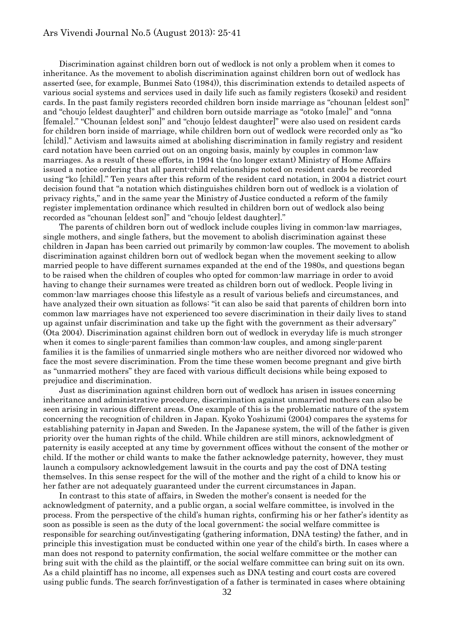### Ars Vivendi Journal No.5 (August 2013): 25-41

Discrimination against children born out of wedlock is not only a problem when it comes to inheritance. As the movement to abolish discrimination against children born out of wedlock has asserted (see, for example, Bunmei Sato (1984)), this discrimination extends to detailed aspects of various social systems and services used in daily life such as family registers (koseki) and resident cards. In the past family registers recorded children born inside marriage as "chounan [eldest son]" and "choujo [eldest daughter]" and children born outside marriage as "otoko [male]" and "onna [female]." "Chounan [eldest son]" and "choujo [eldest daughter]" were also used on resident cards for children born inside of marriage, while children born out of wedlock were recorded only as "ko [child]." Activism and lawsuits aimed at abolishing discrimination in family registry and resident card notation have been carried out on an ongoing basis, mainly by couples in common-law marriages. As a result of these efforts, in 1994 the (no longer extant) Ministry of Home Affairs issued a notice ordering that all parent-child relationships noted on resident cards be recorded using "ko [child]." Ten years after this reform of the resident card notation, in 2004 a district court decision found that "a notation which distinguishes children born out of wedlock is a violation of privacy rights," and in the same year the Ministry of Justice conducted a reform of the family register implementation ordinance which resulted in children born out of wedlock also being recorded as "chounan [eldest son]" and "choujo [eldest daughter]."

The parents of children born out of wedlock include couples living in common-law marriages, single mothers, and single fathers, but the movement to abolish discrimination against these children in Japan has been carried out primarily by common-law couples. The movement to abolish discrimination against children born out of wedlock began when the movement seeking to allow married people to have different surnames expanded at the end of the 1980s, and questions began to be raised when the children of couples who opted for common-law marriage in order to avoid having to change their surnames were treated as children born out of wedlock. People living in common-law marriages choose this lifestyle as a result of various beliefs and circumstances, and have analyzed their own situation as follows: "it can also be said that parents of children born into common law marriages have not experienced too severe discrimination in their daily lives to stand up against unfair discrimination and take up the fight with the government as their adversary" (Ota 2004). Discrimination against children born out of wedlock in everyday life is much stronger when it comes to single-parent families than common-law couples, and among single-parent families it is the families of unmarried single mothers who are neither divorced nor widowed who face the most severe discrimination. From the time these women become pregnant and give birth as "unmarried mothers" they are faced with various difficult decisions while being exposed to prejudice and discrimination.

Just as discrimination against children born out of wedlock has arisen in issues concerning inheritance and administrative procedure, discrimination against unmarried mothers can also be seen arising in various different areas. One example of this is the problematic nature of the system concerning the recognition of children in Japan. Kyoko Yoshizumi (2004) compares the systems for establishing paternity in Japan and Sweden. In the Japanese system, the will of the father is given priority over the human rights of the child. While children are still minors, acknowledgment of paternity is easily accepted at any time by government offices without the consent of the mother or child. If the mother or child wants to make the father acknowledge paternity, however, they must launch a compulsory acknowledgement lawsuit in the courts and pay the cost of DNA testing themselves. In this sense respect for the will of the mother and the right of a child to know his or her father are not adequately guaranteed under the current circumstances in Japan.

In contrast to this state of affairs, in Sweden the mother's consent is needed for the acknowledgment of paternity, and a public organ, a social welfare committee, is involved in the process. From the perspective of the child's human rights, confirming his or her father's identity as soon as possible is seen as the duty of the local government; the social welfare committee is responsible for searching out/investigating (gathering information, DNA testing) the father, and in principle this investigation must be conducted within one year of the child's birth. In cases where a man does not respond to paternity confirmation, the social welfare committee or the mother can bring suit with the child as the plaintiff, or the social welfare committee can bring suit on its own. As a child plaintiff has no income, all expenses such as DNA testing and court costs are covered using public funds. The search for/investigation of a father is terminated in cases where obtaining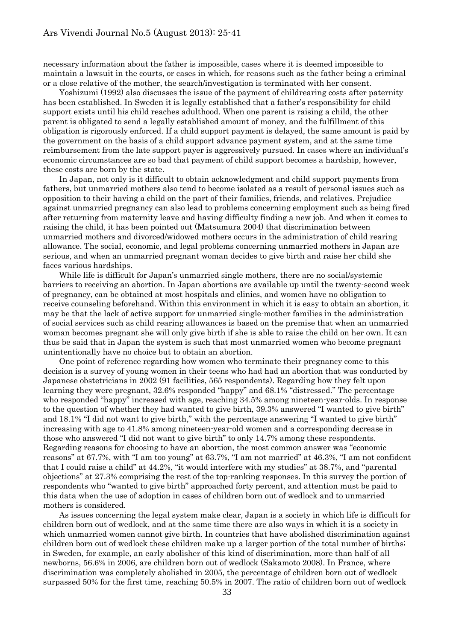necessary information about the father is impossible, cases where it is deemed impossible to maintain a lawsuit in the courts, or cases in which, for reasons such as the father being a criminal or a close relative of the mother, the search/investigation is terminated with her consent.

Yoshizumi (1992) also discusses the issue of the payment of childrearing costs after paternity has been established. In Sweden it is legally established that a father's responsibility for child support exists until his child reaches adulthood. When one parent is raising a child, the other parent is obligated to send a legally established amount of money, and the fulfillment of this obligation is rigorously enforced. If a child support payment is delayed, the same amount is paid by the government on the basis of a child support advance payment system, and at the same time reimbursement from the late support payer is aggressively pursued. In cases where an individual's economic circumstances are so bad that payment of child support becomes a hardship, however, these costs are born by the state.

In Japan, not only is it difficult to obtain acknowledgment and child support payments from fathers, but unmarried mothers also tend to become isolated as a result of personal issues such as opposition to their having a child on the part of their families, friends, and relatives. Prejudice against unmarried pregnancy can also lead to problems concerning employment such as being fired after returning from maternity leave and having difficulty finding a new job. And when it comes to raising the child, it has been pointed out (Matsumura 2004) that discrimination between unmarried mothers and divorced/widowed mothers occurs in the administration of child rearing allowance. The social, economic, and legal problems concerning unmarried mothers in Japan are serious, and when an unmarried pregnant woman decides to give birth and raise her child she faces various hardships.

While life is difficult for Japan's unmarried single mothers, there are no social/systemic barriers to receiving an abortion. In Japan abortions are available up until the twenty-second week of pregnancy, can be obtained at most hospitals and clinics, and women have no obligation to receive counseling beforehand. Within this environment in which it is easy to obtain an abortion, it may be that the lack of active support for unmarried single-mother families in the administration of social services such as child rearing allowances is based on the premise that when an unmarried woman becomes pregnant she will only give birth if she is able to raise the child on her own. It can thus be said that in Japan the system is such that most unmarried women who become pregnant unintentionally have no choice but to obtain an abortion.

One point of reference regarding how women who terminate their pregnancy come to this decision is a survey of young women in their teens who had had an abortion that was conducted by Japanese obstetricians in 2002 (91 facilities, 565 respondents). Regarding how they felt upon learning they were pregnant, 32.6% responded "happy" and 68.1% "distressed." The percentage who responded "happy" increased with age, reaching 34.5% among nineteen-year-olds. In response to the question of whether they had wanted to give birth, 39.3% answered "I wanted to give birth" and 18.1% "I did not want to give birth," with the percentage answering "I wanted to give birth" increasing with age to 41.8% among nineteen-year-old women and a corresponding decrease in those who answered "I did not want to give birth" to only 14.7% among these respondents. Regarding reasons for choosing to have an abortion, the most common answer was "economic reasons" at 67.7%, with "I am too young" at 63.7%, "I am not married" at 46.3%, "I am not confident that I could raise a child" at 44.2%, "it would interfere with my studies" at 38.7%, and "parental objections" at 27.3% comprising the rest of the top-ranking responses. In this survey the portion of respondents who "wanted to give birth" approached forty percent, and attention must be paid to this data when the use of adoption in cases of children born out of wedlock and to unmarried mothers is considered.

As issues concerning the legal system make clear, Japan is a society in which life is difficult for children born out of wedlock, and at the same time there are also ways in which it is a society in which unmarried women cannot give birth. In countries that have abolished discrimination against children born out of wedlock these children make up a larger portion of the total number of births; in Sweden, for example, an early abolisher of this kind of discrimination, more than half of all newborns, 56.6% in 2006, are children born out of wedlock (Sakamoto 2008). In France, where discrimination was completely abolished in 2005, the percentage of children born out of wedlock surpassed 50% for the first time, reaching 50.5% in 2007. The ratio of children born out of wedlock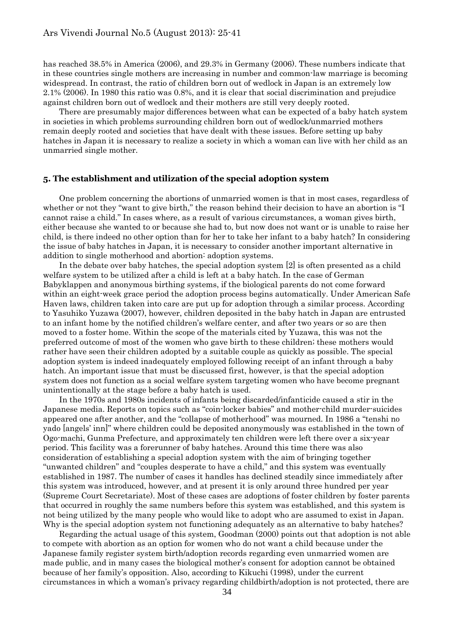has reached 38.5% in America (2006), and 29.3% in Germany (2006). These numbers indicate that in these countries single mothers are increasing in number and common-law marriage is becoming widespread. In contrast, the ratio of children born out of wedlock in Japan is an extremely low 2.1% (2006). In 1980 this ratio was 0.8%, and it is clear that social discrimination and prejudice against children born out of wedlock and their mothers are still very deeply rooted.

There are presumably major differences between what can be expected of a baby hatch system in societies in which problems surrounding children born out of wedlock/unmarried mothers remain deeply rooted and societies that have dealt with these issues. Before setting up baby hatches in Japan it is necessary to realize a society in which a woman can live with her child as an unmarried single mother.

### **5. The establishment and utilization of the special adoption system**

One problem concerning the abortions of unmarried women is that in most cases, regardless of whether or not they "want to give birth," the reason behind their decision to have an abortion is "I cannot raise a child." In cases where, as a result of various circumstances, a woman gives birth, either because she wanted to or because she had to, but now does not want or is unable to raise her child, is there indeed no other option than for her to take her infant to a baby hatch? In considering the issue of baby hatches in Japan, it is necessary to consider another important alternative in addition to single motherhood and abortion: adoption systems.

In the debate over baby hatches, the special adoption system [2] is often presented as a child welfare system to be utilized after a child is left at a baby hatch. In the case of German Babyklappen and anonymous birthing systems, if the biological parents do not come forward within an eight-week grace period the adoption process begins automatically. Under American Safe Haven laws, children taken into care are put up for adoption through a similar process. According to Yasuhiko Yuzawa (2007), however, children deposited in the baby hatch in Japan are entrusted to an infant home by the notified children's welfare center, and after two years or so are then moved to a foster home. Within the scope of the materials cited by Yuzawa, this was not the preferred outcome of most of the women who gave birth to these children; these mothers would rather have seen their children adopted by a suitable couple as quickly as possible. The special adoption system is indeed inadequately employed following receipt of an infant through a baby hatch. An important issue that must be discussed first, however, is that the special adoption system does not function as a social welfare system targeting women who have become pregnant unintentionally at the stage before a baby hatch is used.

In the 1970s and 1980s incidents of infants being discarded/infanticide caused a stir in the Japanese media. Reports on topics such as "coin-locker babies" and mother-child murder-suicides appeared one after another, and the "collapse of motherhood" was mourned. In 1986 a "tenshi no yado [angels' inn]" where children could be deposited anonymously was established in the town of Ogo-machi, Gunma Prefecture, and approximately ten children were left there over a six-year period. This facility was a forerunner of baby hatches. Around this time there was also consideration of establishing a special adoption system with the aim of bringing together "unwanted children" and "couples desperate to have a child," and this system was eventually established in 1987. The number of cases it handles has declined steadily since immediately after this system was introduced, however, and at present it is only around three hundred per year (Supreme Court Secretariate). Most of these cases are adoptions of foster children by foster parents that occurred in roughly the same numbers before this system was established, and this system is not being utilized by the many people who would like to adopt who are assumed to exist in Japan. Why is the special adoption system not functioning adequately as an alternative to baby hatches?

Regarding the actual usage of this system, Goodman (2000) points out that adoption is not able to compete with abortion as an option for women who do not want a child because under the Japanese family register system birth/adoption records regarding even unmarried women are made public, and in many cases the biological mother's consent for adoption cannot be obtained because of her family's opposition. Also, according to Kikuchi (1998), under the current circumstances in which a woman's privacy regarding childbirth/adoption is not protected, there are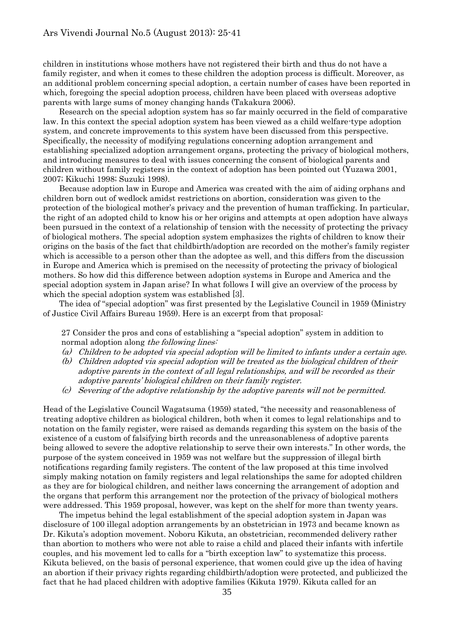children in institutions whose mothers have not registered their birth and thus do not have a family register, and when it comes to these children the adoption process is difficult. Moreover, as an additional problem concerning special adoption, a certain number of cases have been reported in which, foregoing the special adoption process, children have been placed with overseas adoptive parents with large sums of money changing hands (Takakura 2006).

Research on the special adoption system has so far mainly occurred in the field of comparative law. In this context the special adoption system has been viewed as a child welfare-type adoption system, and concrete improvements to this system have been discussed from this perspective. Specifically, the necessity of modifying regulations concerning adoption arrangement and establishing specialized adoption arrangement organs, protecting the privacy of biological mothers, and introducing measures to deal with issues concerning the consent of biological parents and children without family registers in the context of adoption has been pointed out (Yuzawa 2001, 2007; Kikuchi 1998; Suzuki 1998).

Because adoption law in Europe and America was created with the aim of aiding orphans and children born out of wedlock amidst restrictions on abortion, consideration was given to the protection of the biological mother's privacy and the prevention of human trafficking. In particular, the right of an adopted child to know his or her origins and attempts at open adoption have always been pursued in the context of a relationship of tension with the necessity of protecting the privacy of biological mothers. The special adoption system emphasizes the rights of children to know their origins on the basis of the fact that childbirth/adoption are recorded on the mother's family register which is accessible to a person other than the adoptee as well, and this differs from the discussion in Europe and America which is premised on the necessity of protecting the privacy of biological mothers. So how did this difference between adoption systems in Europe and America and the special adoption system in Japan arise? In what follows I will give an overview of the process by which the special adoption system was established [3].

The idea of "special adoption" was first presented by the Legislative Council in 1959 (Ministry of Justice Civil Affairs Bureau 1959). Here is an excerpt from that proposal:

27 Consider the pros and cons of establishing a "special adoption" system in addition to normal adoption along the following lines:

- (a) Children to be adopted via special adoption will be limited to infants under a certain age.
- (b) Children adopted via special adoption will be treated as the biological children of their adoptive parents in the context of all legal relationships, and will be recorded as their adoptive parents' biological children on their family register.
- (c) Severing of the adoptive relationship by the adoptive parents will not be permitted.

Head of the Legislative Council Wagatsuma (1959) stated, "the necessity and reasonableness of treating adoptive children as biological children, both when it comes to legal relationships and to notation on the family register, were raised as demands regarding this system on the basis of the existence of a custom of falsifying birth records and the unreasonableness of adoptive parents being allowed to severe the adoptive relationship to serve their own interests." In other words, the purpose of the system conceived in 1959 was not welfare but the suppression of illegal birth notifications regarding family registers. The content of the law proposed at this time involved simply making notation on family registers and legal relationships the same for adopted children as they are for biological children, and neither laws concerning the arrangement of adoption and the organs that perform this arrangement nor the protection of the privacy of biological mothers were addressed. This 1959 proposal, however, was kept on the shelf for more than twenty years.

The impetus behind the legal establishment of the special adoption system in Japan was disclosure of 100 illegal adoption arrangements by an obstetrician in 1973 and became known as Dr. Kikuta's adoption movement. Noboru Kikuta, an obstetrician, recommended delivery rather than abortion to mothers who were not able to raise a child and placed their infants with infertile couples, and his movement led to calls for a "birth exception law" to systematize this process. Kikuta believed, on the basis of personal experience, that women could give up the idea of having an abortion if their privacy rights regarding childbirth/adoption were protected, and publicized the fact that he had placed children with adoptive families (Kikuta 1979). Kikuta called for an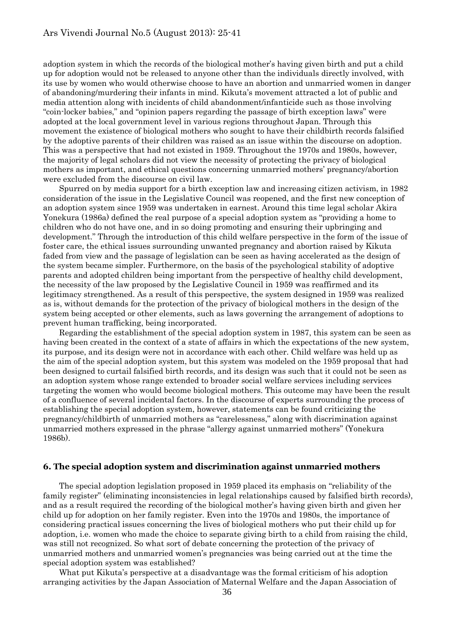adoption system in which the records of the biological mother's having given birth and put a child up for adoption would not be released to anyone other than the individuals directly involved, with its use by women who would otherwise choose to have an abortion and unmarried women in danger of abandoning/murdering their infants in mind. Kikuta's movement attracted a lot of public and media attention along with incidents of child abandonment/infanticide such as those involving "coin-locker babies," and "opinion papers regarding the passage of birth exception laws" were adopted at the local government level in various regions throughout Japan. Through this movement the existence of biological mothers who sought to have their childbirth records falsified by the adoptive parents of their children was raised as an issue within the discourse on adoption. This was a perspective that had not existed in 1959. Throughout the 1970s and 1980s, however, the majority of legal scholars did not view the necessity of protecting the privacy of biological mothers as important, and ethical questions concerning unmarried mothers' pregnancy/abortion were excluded from the discourse on civil law.

Spurred on by media support for a birth exception law and increasing citizen activism, in 1982 consideration of the issue in the Legislative Council was reopened, and the first new conception of an adoption system since 1959 was undertaken in earnest. Around this time legal scholar Akira Yonekura (1986a) defined the real purpose of a special adoption system as "providing a home to children who do not have one, and in so doing promoting and ensuring their upbringing and development." Through the introduction of this child welfare perspective in the form of the issue of foster care, the ethical issues surrounding unwanted pregnancy and abortion raised by Kikuta faded from view and the passage of legislation can be seen as having accelerated as the design of the system became simpler. Furthermore, on the basis of the psychological stability of adoptive parents and adopted children being important from the perspective of healthy child development, the necessity of the law proposed by the Legislative Council in 1959 was reaffirmed and its legitimacy strengthened. As a result of this perspective, the system designed in 1959 was realized as is, without demands for the protection of the privacy of biological mothers in the design of the system being accepted or other elements, such as laws governing the arrangement of adoptions to prevent human trafficking, being incorporated.

Regarding the establishment of the special adoption system in 1987, this system can be seen as having been created in the context of a state of affairs in which the expectations of the new system, its purpose, and its design were not in accordance with each other. Child welfare was held up as the aim of the special adoption system, but this system was modeled on the 1959 proposal that had been designed to curtail falsified birth records, and its design was such that it could not be seen as an adoption system whose range extended to broader social welfare services including services targeting the women who would become biological mothers. This outcome may have been the result of a confluence of several incidental factors. In the discourse of experts surrounding the process of establishing the special adoption system, however, statements can be found criticizing the pregnancy/childbirth of unmarried mothers as "carelessness," along with discrimination against unmarried mothers expressed in the phrase "allergy against unmarried mothers" (Yonekura 1986b).

#### **6. The special adoption system and discrimination against unmarried mothers**

The special adoption legislation proposed in 1959 placed its emphasis on "reliability of the family register" (eliminating inconsistencies in legal relationships caused by falsified birth records), and as a result required the recording of the biological mother's having given birth and given her child up for adoption on her family register. Even into the 1970s and 1980s, the importance of considering practical issues concerning the lives of biological mothers who put their child up for adoption, i.e. women who made the choice to separate giving birth to a child from raising the child, was still not recognized. So what sort of debate concerning the protection of the privacy of unmarried mothers and unmarried women's pregnancies was being carried out at the time the special adoption system was established?

What put Kikuta's perspective at a disadvantage was the formal criticism of his adoption arranging activities by the Japan Association of Maternal Welfare and the Japan Association of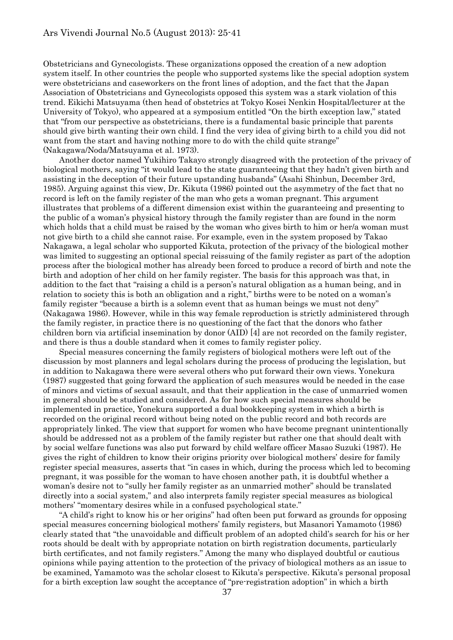Obstetricians and Gynecologists. These organizations opposed the creation of a new adoption system itself. In other countries the people who supported systems like the special adoption system were obstetricians and caseworkers on the front lines of adoption, and the fact that the Japan Association of Obstetricians and Gynecologists opposed this system was a stark violation of this trend. Eikichi Matsuyama (then head of obstetrics at Tokyo Kosei Nenkin Hospital/lecturer at the University of Tokyo), who appeared at a symposium entitled "On the birth exception law," stated that "from our perspective as obstetricians, there is a fundamental basic principle that parents should give birth wanting their own child. I find the very idea of giving birth to a child you did not want from the start and having nothing more to do with the child quite strange" (Nakagawa/Noda/Matsuyama et al. 1973).

Another doctor named Yukihiro Takayo strongly disagreed with the protection of the privacy of biological mothers, saying "it would lead to the state guaranteeing that they hadn't given birth and assisting in the deception of their future upstanding husbands" (Asahi Shinbun, December 3rd, 1985). Arguing against this view, Dr. Kikuta (1986) pointed out the asymmetry of the fact that no record is left on the family register of the man who gets a woman pregnant. This argument illustrates that problems of a different dimension exist within the guaranteeing and presenting to the public of a woman's physical history through the family register than are found in the norm which holds that a child must be raised by the woman who gives birth to him or her/a woman must not give birth to a child she cannot raise. For example, even in the system proposed by Takao Nakagawa, a legal scholar who supported Kikuta, protection of the privacy of the biological mother was limited to suggesting an optional special reissuing of the family register as part of the adoption process after the biological mother has already been forced to produce a record of birth and note the birth and adoption of her child on her family register. The basis for this approach was that, in addition to the fact that "raising a child is a person's natural obligation as a human being, and in relation to society this is both an obligation and a right," births were to be noted on a woman's family register "because a birth is a solemn event that as human beings we must not deny" (Nakagawa 1986). However, while in this way female reproduction is strictly administered through the family register, in practice there is no questioning of the fact that the donors who father children born via artificial insemination by donor (AID) [4] are not recorded on the family register, and there is thus a double standard when it comes to family register policy.

Special measures concerning the family registers of biological mothers were left out of the discussion by most planners and legal scholars during the process of producing the legislation, but in addition to Nakagawa there were several others who put forward their own views. Yonekura (1987) suggested that going forward the application of such measures would be needed in the case of minors and victims of sexual assault, and that their application in the case of unmarried women in general should be studied and considered. As for how such special measures should be implemented in practice, Yonekura supported a dual bookkeeping system in which a birth is recorded on the original record without being noted on the public record and both records are appropriately linked. The view that support for women who have become pregnant unintentionally should be addressed not as a problem of the family register but rather one that should dealt with by social welfare functions was also put forward by child welfare officer Masao Suzuki (1987). He gives the right of children to know their origins priority over biological mothers' desire for family register special measures, asserts that "in cases in which, during the process which led to becoming pregnant, it was possible for the woman to have chosen another path, it is doubtful whether a woman's desire not to "sully her family register as an unmarried mother" should be translated directly into a social system," and also interprets family register special measures as biological mothers' "momentary desires while in a confused psychological state."

"A child's right to know his or her origins" had often been put forward as grounds for opposing special measures concerning biological mothers' family registers, but Masanori Yamamoto (1986) clearly stated that "the unavoidable and difficult problem of an adopted child's search for his or her roots should be dealt with by appropriate notation on birth registration documents, particularly birth certificates, and not family registers." Among the many who displayed doubtful or cautious opinions while paying attention to the protection of the privacy of biological mothers as an issue to be examined, Yamamoto was the scholar closest to Kikuta's perspective. Kikuta's personal proposal for a birth exception law sought the acceptance of "pre-registration adoption" in which a birth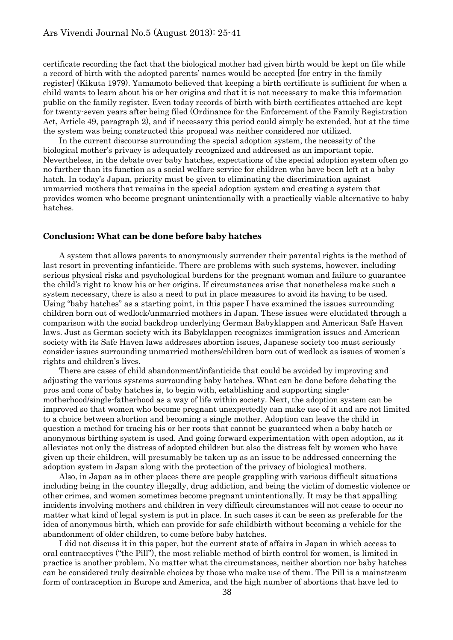certificate recording the fact that the biological mother had given birth would be kept on file while a record of birth with the adopted parents' names would be accepted [for entry in the family register] (Kikuta 1979). Yamamoto believed that keeping a birth certificate is sufficient for when a child wants to learn about his or her origins and that it is not necessary to make this information public on the family register. Even today records of birth with birth certificates attached are kept for twenty-seven years after being filed (Ordinance for the Enforcement of the Family Registration Act, Article 49, paragraph 2), and if necessary this period could simply be extended, but at the time the system was being constructed this proposal was neither considered nor utilized.

In the current discourse surrounding the special adoption system, the necessity of the biological mother's privacy is adequately recognized and addressed as an important topic. Nevertheless, in the debate over baby hatches, expectations of the special adoption system often go no further than its function as a social welfare service for children who have been left at a baby hatch. In today's Japan, priority must be given to eliminating the discrimination against unmarried mothers that remains in the special adoption system and creating a system that provides women who become pregnant unintentionally with a practically viable alternative to baby hatches.

#### **Conclusion: What can be done before baby hatches**

A system that allows parents to anonymously surrender their parental rights is the method of last resort in preventing infanticide. There are problems with such systems, however, including serious physical risks and psychological burdens for the pregnant woman and failure to guarantee the child's right to know his or her origins. If circumstances arise that nonetheless make such a system necessary, there is also a need to put in place measures to avoid its having to be used. Using "baby hatches" as a starting point, in this paper I have examined the issues surrounding children born out of wedlock/unmarried mothers in Japan. These issues were elucidated through a comparison with the social backdrop underlying German Babyklappen and American Safe Haven laws. Just as German society with its Babyklappen recognizes immigration issues and American society with its Safe Haven laws addresses abortion issues, Japanese society too must seriously consider issues surrounding unmarried mothers/children born out of wedlock as issues of women's rights and children's lives.

There are cases of child abandonment/infanticide that could be avoided by improving and adjusting the various systems surrounding baby hatches. What can be done before debating the pros and cons of baby hatches is, to begin with, establishing and supporting singlemotherhood/single-fatherhood as a way of life within society. Next, the adoption system can be improved so that women who become pregnant unexpectedly can make use of it and are not limited to a choice between abortion and becoming a single mother. Adoption can leave the child in question a method for tracing his or her roots that cannot be guaranteed when a baby hatch or anonymous birthing system is used. And going forward experimentation with open adoption, as it alleviates not only the distress of adopted children but also the distress felt by women who have given up their children, will presumably be taken up as an issue to be addressed concerning the adoption system in Japan along with the protection of the privacy of biological mothers.

Also, in Japan as in other places there are people grappling with various difficult situations including being in the country illegally, drug addiction, and being the victim of domestic violence or other crimes, and women sometimes become pregnant unintentionally. It may be that appalling incidents involving mothers and children in very difficult circumstances will not cease to occur no matter what kind of legal system is put in place. In such cases it can be seen as preferable for the idea of anonymous birth, which can provide for safe childbirth without becoming a vehicle for the abandonment of older children, to come before baby hatches.

I did not discuss it in this paper, but the current state of affairs in Japan in which access to oral contraceptives ("the Pill"), the most reliable method of birth control for women, is limited in practice is another problem. No matter what the circumstances, neither abortion nor baby hatches can be considered truly desirable choices by those who make use of them. The Pill is a mainstream form of contraception in Europe and America, and the high number of abortions that have led to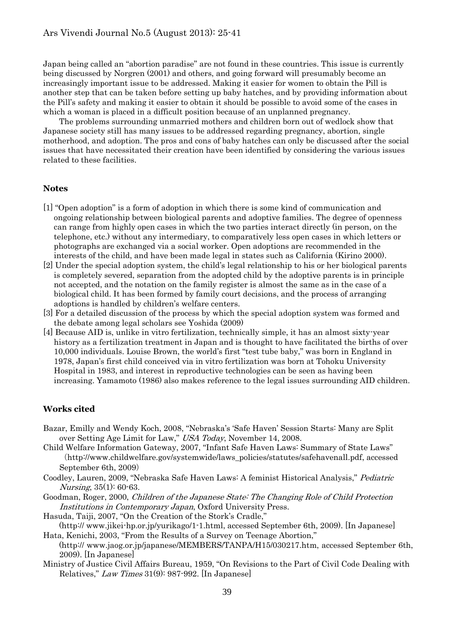Japan being called an "abortion paradise" are not found in these countries. This issue is currently being discussed by Norgren (2001) and others, and going forward will presumably become an increasingly important issue to be addressed. Making it easier for women to obtain the Pill is another step that can be taken before setting up baby hatches, and by providing information about the Pill's safety and making it easier to obtain it should be possible to avoid some of the cases in which a woman is placed in a difficult position because of an unplanned pregnancy.

The problems surrounding unmarried mothers and children born out of wedlock show that Japanese society still has many issues to be addressed regarding pregnancy, abortion, single motherhood, and adoption. The pros and cons of baby hatches can only be discussed after the social issues that have necessitated their creation have been identified by considering the various issues related to these facilities.

#### **Notes**

- [1] "Open adoption" is a form of adoption in which there is some kind of communication and ongoing relationship between biological parents and adoptive families. The degree of openness can range from highly open cases in which the two parties interact directly (in person, on the telephone, etc.) without any intermediary, to comparatively less open cases in which letters or photographs are exchanged via a social worker. Open adoptions are recommended in the interests of the child, and have been made legal in states such as California (Kirino 2000).
- [2] Under the special adoption system, the child's legal relationship to his or her biological parents is completely severed, separation from the adopted child by the adoptive parents is in principle not accepted, and the notation on the family register is almost the same as in the case of a biological child. It has been formed by family court decisions, and the process of arranging adoptions is handled by children's welfare centers.
- [3] For a detailed discussion of the process by which the special adoption system was formed and the debate among legal scholars see Yoshida (2009)
- [4] Because AID is, unlike in vitro fertilization, technically simple, it has an almost sixty-year history as a fertilization treatment in Japan and is thought to have facilitated the births of over 10,000 individuals. Louise Brown, the world's first "test tube baby," was born in England in 1978, Japan's first child conceived via in vitro fertilization was born at Tohoku University Hospital in 1983, and interest in reproductive technologies can be seen as having been increasing. Yamamoto (1986) also makes reference to the legal issues surrounding AID children.

### **Works cited**

- Bazar, Emilly and Wendy Koch, 2008, "Nebraska's 'Safe Haven' Session Starts: Many are Split over Setting Age Limit for Law," USA Today, November 14, 2008.
- Child Welfare Information Gateway, 2007, "Infant Safe Haven Laws: Summary of State Laws" (http://www.childwelfare.gov/systemwide/laws\_policies/statutes/safehavenall.pdf, accessed September 6th, 2009)
- Coodley, Lauren, 2009, "Nebraska Safe Haven Laws: A feminist Historical Analysis," Pediatric Nursing, 35(1): 60-63.
- Goodman, Roger, 2000, Children of the Japanese State: The Changing Role of Child Protection Institutions in Contemporary Japan, Oxford University Press.
- Hasuda, Taiji, 2007, "On the Creation of the Stork's Cradle,"
- (http:// www.jikei-hp.or.jp/yurikago/1-1.html, accessed September 6th, 2009). [In Japanese] Hata, Kenichi, 2003, "From the Results of a Survey on Teenage Abortion,"

 (http:// www.jaog.or.jp/japanese/MEMBERS/TANPA/H15/030217.htm, accessed September 6th, 2009). [In Japanese]

Ministry of Justice Civil Affairs Bureau, 1959, "On Revisions to the Part of Civil Code Dealing with Relatives," Law Times 31(9): 987-992. [In Japanese]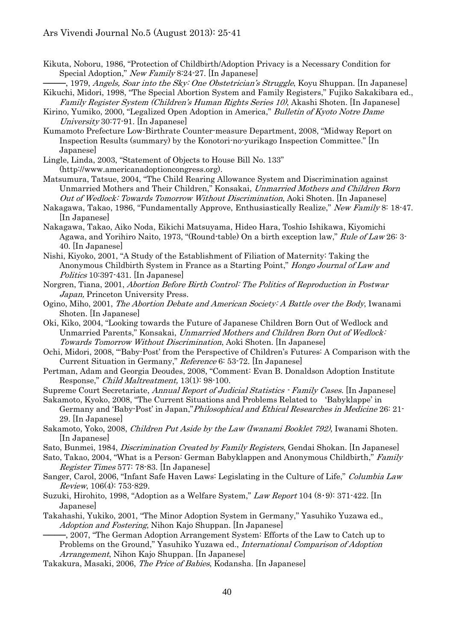- Kikuta, Noboru, 1986, "Protection of Childbirth/Adoption Privacy is a Necessary Condition for Special Adoption," New Family 8:24-27. [In Japanese]
- <sup>-</sup>, 1979, *Angels, Soar into the Sky: One Obstetrician's Struggle*, Koyu Shuppan. [In Japanese] Kikuchi, Midori, 1998, "The Special Abortion System and Family Registers," Fujiko Sakakibara ed.,
- Family Register System (Children's Human Rights Series 10), Akashi Shoten. [In Japanese] Kirino, Yumiko, 2000, "Legalized Open Adoption in America," Bulletin of Kyoto Notre Dame University 30:77-91. [In Japanese]

Kumamoto Prefecture Low-Birthrate Counter-measure Department, 2008, "Midway Report on Inspection Results (summary) by the Konotori-no-yurikago Inspection Committee." [In Japanese]

- Lingle, Linda, 2003, "Statement of Objects to House Bill No. 133" (http://www.americanadoptioncongress.org).
- Matsumura, Tatsue, 2004, "The Child Rearing Allowance System and Discrimination against Unmarried Mothers and Their Children," Konsakai, Unmarried Mothers and Children Born Out of Wedlock: Towards Tomorrow Without Discrimination, Aoki Shoten. [In Japanese]
- Nakagawa, Takao, 1986, "Fundamentally Approve, Enthusiastically Realize," New Family 8: 18-47. [In Japanese]
- Nakagawa, Takao, Aiko Noda, Eikichi Matsuyama, Hideo Hara, Toshio Ishikawa, Kiyomichi Agawa, and Yorihiro Naito, 1973, "(Round-table) On a birth exception law," Rule of Law 26: 3- 40. [In Japanese]
- Nishi, Kiyoko, 2001, "A Study of the Establishment of Filiation of Maternity: Taking the Anonymous Childbirth System in France as a Starting Point," Hongo Journal of Law and Politics 10:397-431. [In Japanese]
- Norgren, Tiana, 2001, Abortion Before Birth Control: The Politics of Reproduction in Postwar Japan, Princeton University Press.
- Ogino, Miho, 2001, The Abortion Debate and American Society: A Battle over the Body, Iwanami Shoten. [In Japanese]
- Oki, Kiko, 2004, "Looking towards the Future of Japanese Children Born Out of Wedlock and Unmarried Parents," Konsakai, Unmarried Mothers and Children Born Out of Wedlock: Towards Tomorrow Without Discrimination, Aoki Shoten. [In Japanese]
- Ochi, Midori, 2008, "'Baby-Post' from the Perspective of Children's Futures: A Comparison with the Current Situation in Germany," Reference 6: 53-72. [In Japanese]
- Pertman, Adam and Georgia Deoudes, 2008, "Comment: Evan B. Donaldson Adoption Institute Response," Child Maltreatment, 13(1): 98-100.
- Supreme Court Secretariate, Annual Report of Judicial Statistics Family Cases. [In Japanese]
- Sakamoto, Kyoko, 2008, "The Current Situations and Problems Related to 'Babyklappe' in Germany and 'Baby-Post' in Japan,"Philosophical and Ethical Researches in Medicine 26: 21- 29. [In Japanese]
- Sakamoto, Yoko, 2008, Children Put Aside by the Law (Iwanami Booklet 792), Iwanami Shoten. [In Japanese]

Sato, Bunmei, 1984, Discrimination Created by Family Registers, Gendai Shokan. [In Japanese]

- Sato, Takao, 2004, "What is a Person: German Babyklappen and Anonymous Childbirth," Family Register Times 577: 78-83. [In Japanese]
- Sanger, Carol, 2006, "Infant Safe Haven Laws: Legislating in the Culture of Life," Columbia Law Review, 106(4): 753-829.
- Suzuki, Hirohito, 1998, "Adoption as a Welfare System," Law Report 104  $(8.9)$ : 371-422. [In Japanese]
- Takahashi, Yukiko, 2001, "The Minor Adoption System in Germany," Yasuhiko Yuzawa ed., Adoption and Fostering, Nihon Kajo Shuppan. [In Japanese]

────, 2007, "The German Adoption Arrangement System: Efforts of the Law to Catch up to Problems on the Ground," Yasuhiko Yuzawa ed., International Comparison of Adoption Arrangement, Nihon Kajo Shuppan. [In Japanese]

Takakura, Masaki, 2006, The Price of Babies, Kodansha. [In Japanese]